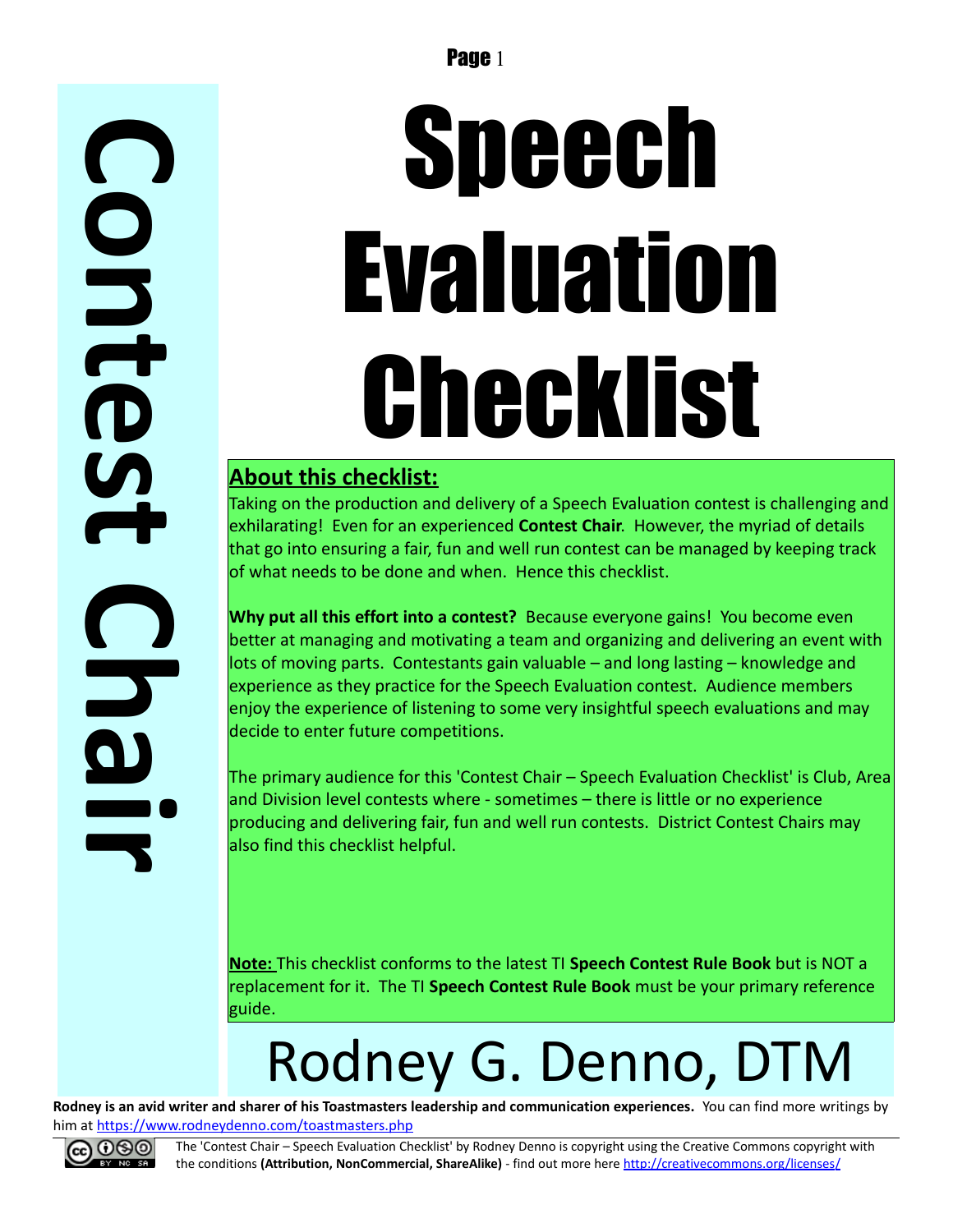# Speech Evaluation Checklist

#### **About this checklist:**

Taking on the production and delivery of a Speech Evaluation contest is challenging and exhilarating! Even for an experienced **Contest Chair**. However, the myriad of details that go into ensuring a fair, fun and well run contest can be managed by keeping track of what needs to be done and when. Hence this checklist.

**Why put all this effort into a contest?** Because everyone gains! You become even better at managing and motivating a team and organizing and delivering an event with lots of moving parts. Contestants gain valuable – and long lasting – knowledge and experience as they practice for the Speech Evaluation contest. Audience members enjoy the experience of listening to some very insightful speech evaluations and may decide to enter future competitions.

The primary audience for this 'Contest Chair – Speech Evaluation Checklist' is Club, Area and Division level contests where - sometimes – there is little or no experience producing and delivering fair, fun and well run contests. District Contest Chairs may also find this checklist helpful.

**Note:** This checklist conforms to the latest TI **Speech Contest Rule Book** but is NOT a replacement for it. The TI **Speech Contest Rule Book** must be your primary reference guide.

## Rodney G. Denno, DTM

**Rodney is an avid writer and sharer of his Toastmasters leadership and communication experiences.** You can find more writings by him at<https://www.rodneydenno.com/toastmasters.php>



The 'Contest Chair – Speech Evaluation Checklist' by Rodney Denno is copyright using the Creative Commons copyright with the conditions **(Attribution, NonCommercial, ShareAlike)** - find out more here<http://creativecommons.org/licenses/>

**C**

**o**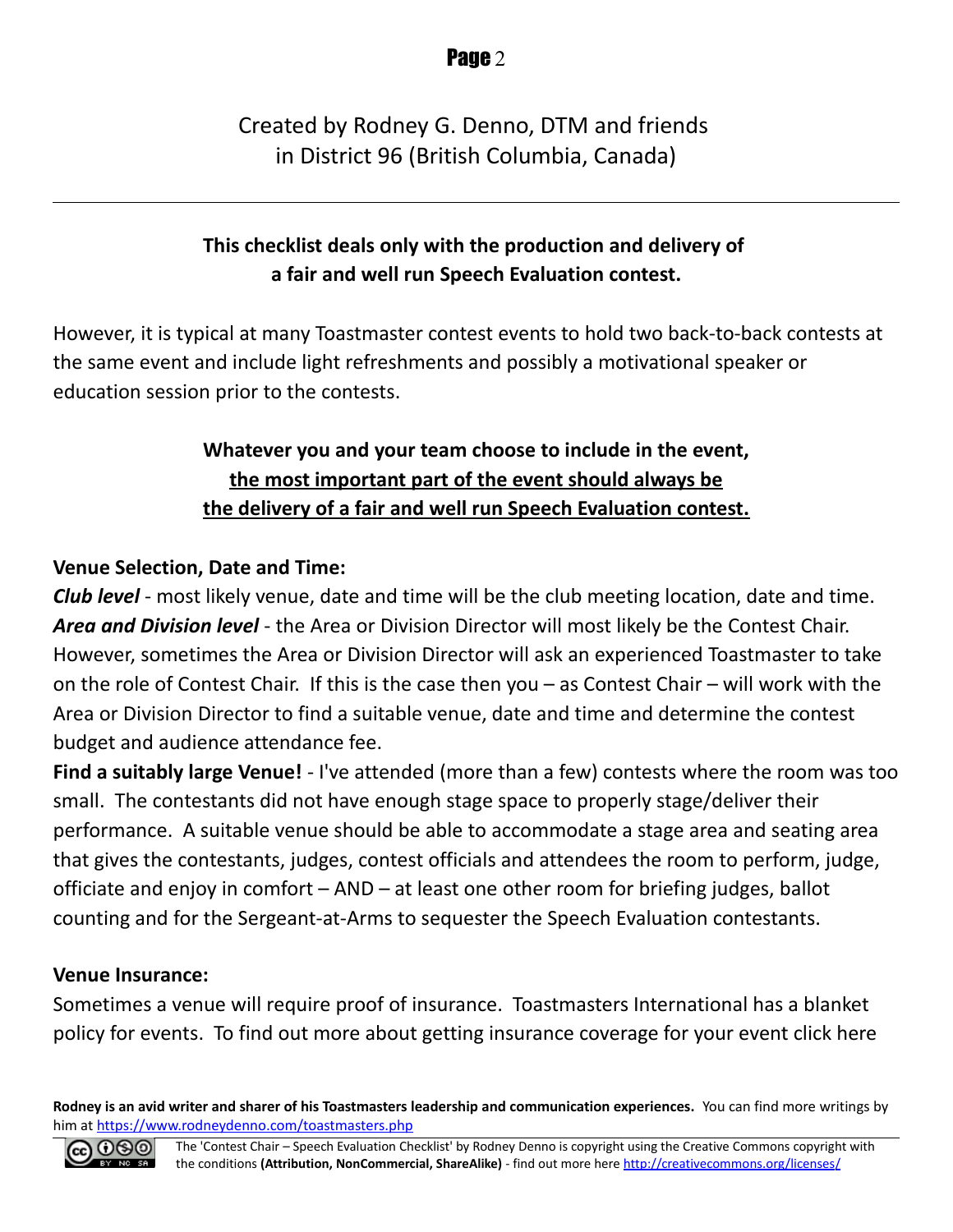#### Created by Rodney G. Denno, DTM and friends in District 96 (British Columbia, Canada)

#### **This checklist deals only with the production and delivery of a fair and well run Speech Evaluation contest.**

However, it is typical at many Toastmaster contest events to hold two back-to-back contests at the same event and include light refreshments and possibly a motivational speaker or education session prior to the contests.

#### **Whatever you and your team choose to include in the event, the most important part of the event should always be the delivery of a fair and well run Speech Evaluation contest.**

#### **Venue Selection, Date and Time:**

*Club level* - most likely venue, date and time will be the club meeting location, date and time. *Area and Division level* - the Area or Division Director will most likely be the Contest Chair. However, sometimes the Area or Division Director will ask an experienced Toastmaster to take on the role of Contest Chair. If this is the case then you – as Contest Chair – will work with the Area or Division Director to find a suitable venue, date and time and determine the contest budget and audience attendance fee.

**Find a suitably large Venue!** - I've attended (more than a few) contests where the room was too small. The contestants did not have enough stage space to properly stage/deliver their performance. A suitable venue should be able to accommodate a stage area and seating area that gives the contestants, judges, contest officials and attendees the room to perform, judge, officiate and enjoy in comfort – AND – at least one other room for briefing judges, ballot counting and for the Sergeant-at-Arms to sequester the Speech Evaluation contestants.

#### **Venue Insurance:**

Sometimes a venue will require proof of insurance. Toastmasters International has a blanket policy for events. To find out more about getting insurance coverage for your event click here

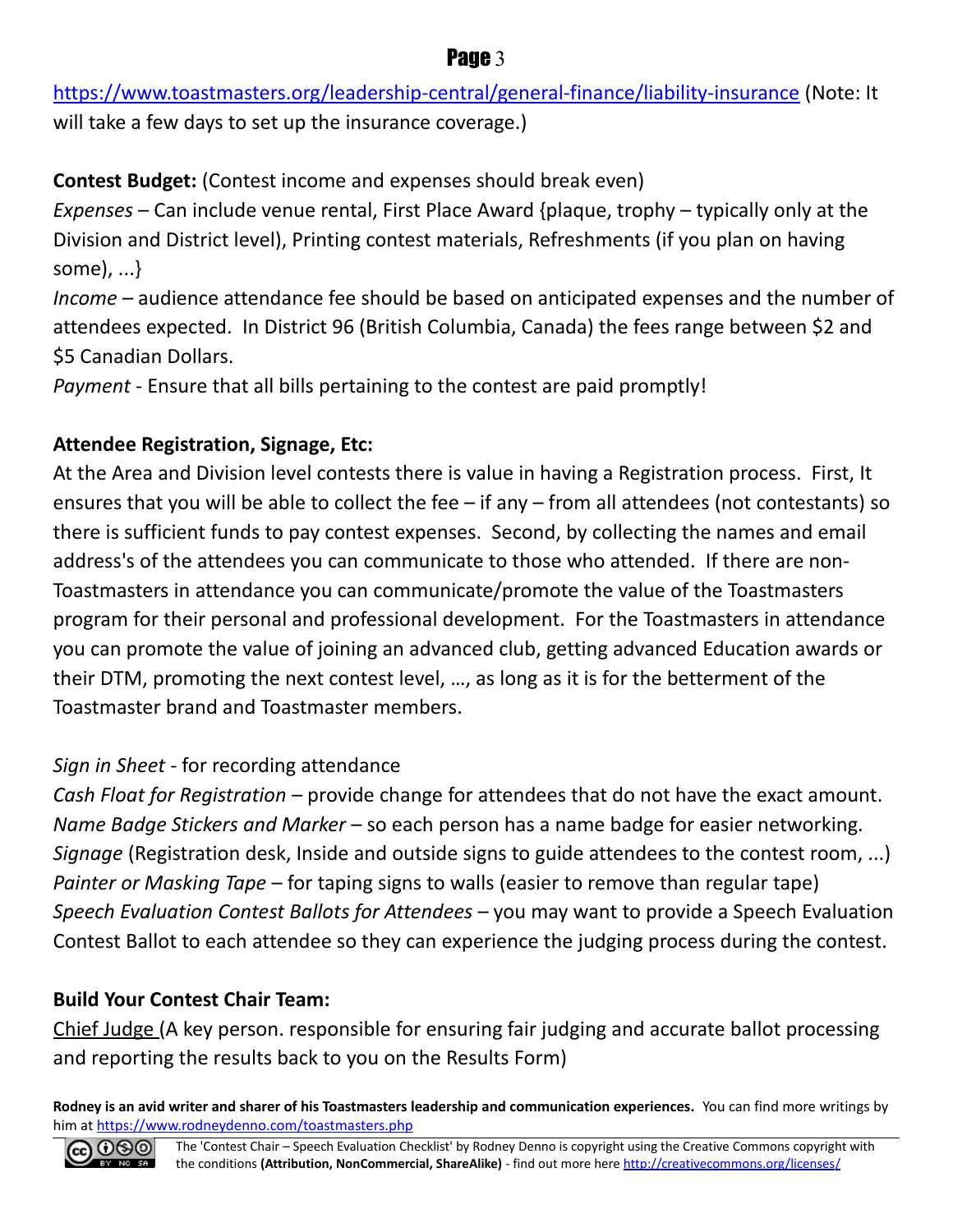<https://www.toastmasters.org/leadership-central/general-finance/liability-insurance>(Note: It will take a few days to set up the insurance coverage.)

**Contest Budget:** (Contest income and expenses should break even)

*Expenses* – Can include venue rental, First Place Award {plaque, trophy – typically only at the Division and District level), Printing contest materials, Refreshments (if you plan on having some), ...}

*Income* – audience attendance fee should be based on anticipated expenses and the number of attendees expected. In District 96 (British Columbia, Canada) the fees range between \$2 and \$5 Canadian Dollars.

*Payment* - Ensure that all bills pertaining to the contest are paid promptly!

#### **Attendee Registration, Signage, Etc:**

At the Area and Division level contests there is value in having a Registration process. First, It ensures that you will be able to collect the fee – if any – from all attendees (not contestants) so there is sufficient funds to pay contest expenses. Second, by collecting the names and email address's of the attendees you can communicate to those who attended. If there are non-Toastmasters in attendance you can communicate/promote the value of the Toastmasters program for their personal and professional development. For the Toastmasters in attendance you can promote the value of joining an advanced club, getting advanced Education awards or their DTM, promoting the next contest level, …, as long as it is for the betterment of the Toastmaster brand and Toastmaster members.

#### *Sign in Sheet* - for recording attendance

*Cash Float for Registration* – provide change for attendees that do not have the exact amount. *Name Badge Stickers and Marker* – so each person has a name badge for easier networking. *Signage* (Registration desk, Inside and outside signs to guide attendees to the contest room, ...) *Painter or Masking Tape* – for taping signs to walls (easier to remove than regular tape) *Speech Evaluation Contest Ballots for Attendees* – you may want to provide a Speech Evaluation Contest Ballot to each attendee so they can experience the judging process during the contest.

#### **Build Your Contest Chair Team:**

Chief Judge (A key person. responsible for ensuring fair judging and accurate ballot processing and reporting the results back to you on the Results Form)

**Rodney is an avid writer and sharer of his Toastmasters leadership and communication experiences.** You can find more writings by him at<https://www.rodneydenno.com/toastmasters.php>



#### Page 3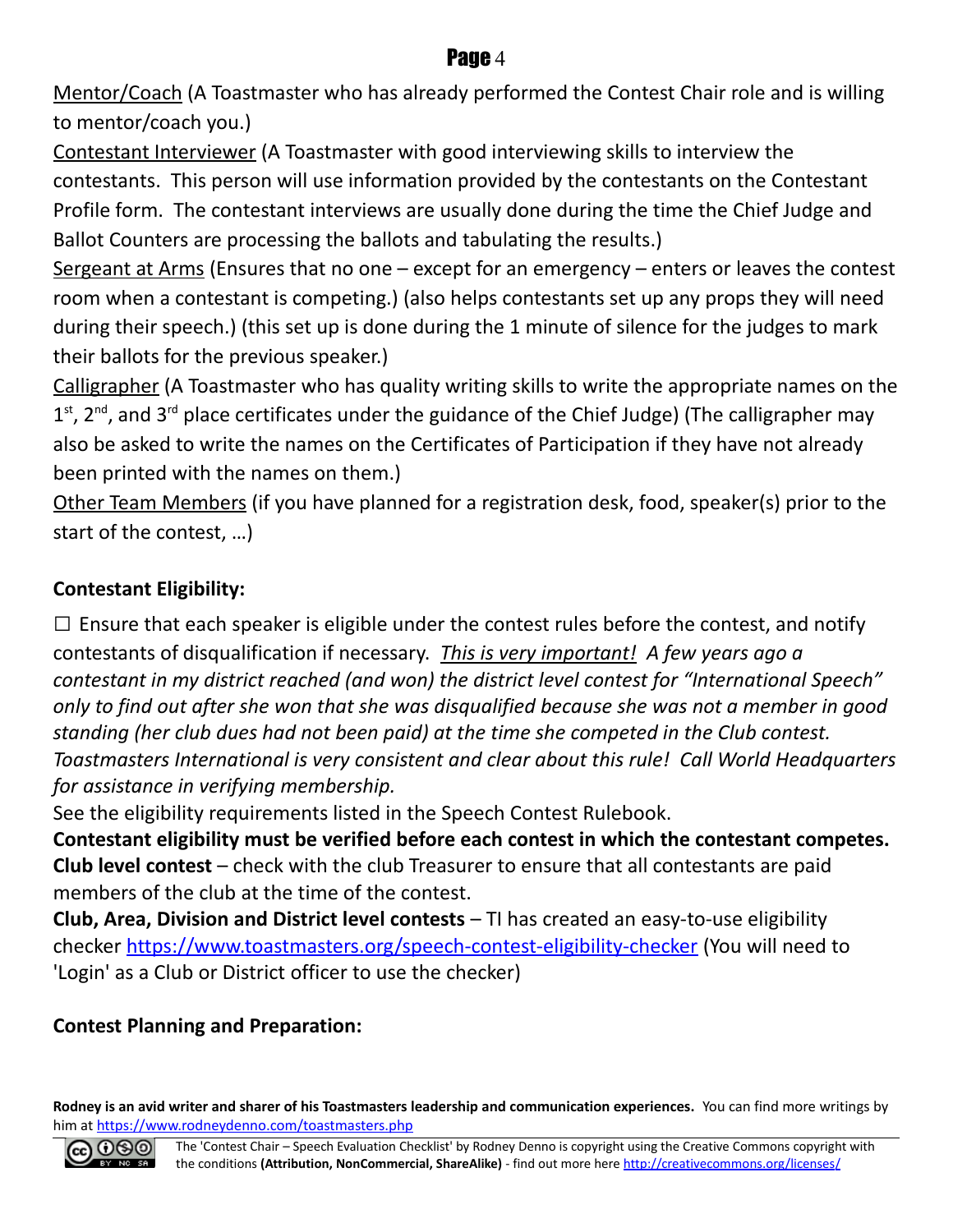Mentor/Coach (A Toastmaster who has already performed the Contest Chair role and is willing to mentor/coach you.)

Contestant Interviewer (A Toastmaster with good interviewing skills to interview the contestants. This person will use information provided by the contestants on the Contestant Profile form. The contestant interviews are usually done during the time the Chief Judge and Ballot Counters are processing the ballots and tabulating the results.)

Sergeant at Arms (Ensures that no one  $-$  except for an emergency  $-$  enters or leaves the contest room when a contestant is competing.) (also helps contestants set up any props they will need during their speech.) (this set up is done during the 1 minute of silence for the judges to mark their ballots for the previous speaker.)

Calligrapher (A Toastmaster who has quality writing skills to write the appropriate names on the  $1<sup>st</sup>$ , 2<sup>nd</sup>, and 3<sup>rd</sup> place certificates under the guidance of the Chief Judge) (The calligrapher may also be asked to write the names on the Certificates of Participation if they have not already been printed with the names on them.)

Other Team Members (if you have planned for a registration desk, food, speaker(s) prior to the start of the contest, …)

#### **Contestant Eligibility:**

 $\square$  Ensure that each speaker is eligible under the contest rules before the contest, and notify contestants of disqualification if necessary. *This is very important! A few years ago a contestant in my district reached (and won) the district level contest for "International Speech" only to find out after she won that she was disqualified because she was not a member in good standing (her club dues had not been paid) at the time she competed in the Club contest. Toastmasters International is very consistent and clear about this rule! Call World Headquarters for assistance in verifying membership.*

See the eligibility requirements listed in the Speech Contest Rulebook.

**Contestant eligibility must be verified before each contest in which the contestant competes. Club level contest** – check with the club Treasurer to ensure that all contestants are paid members of the club at the time of the contest.

**Club, Area, Division and District level contests** – TI has created an easy-to-use eligibility checker<https://www.toastmasters.org/speech-contest-eligibility-checker>(You will need to 'Login' as a Club or District officer to use the checker)

#### **Contest Planning and Preparation:**

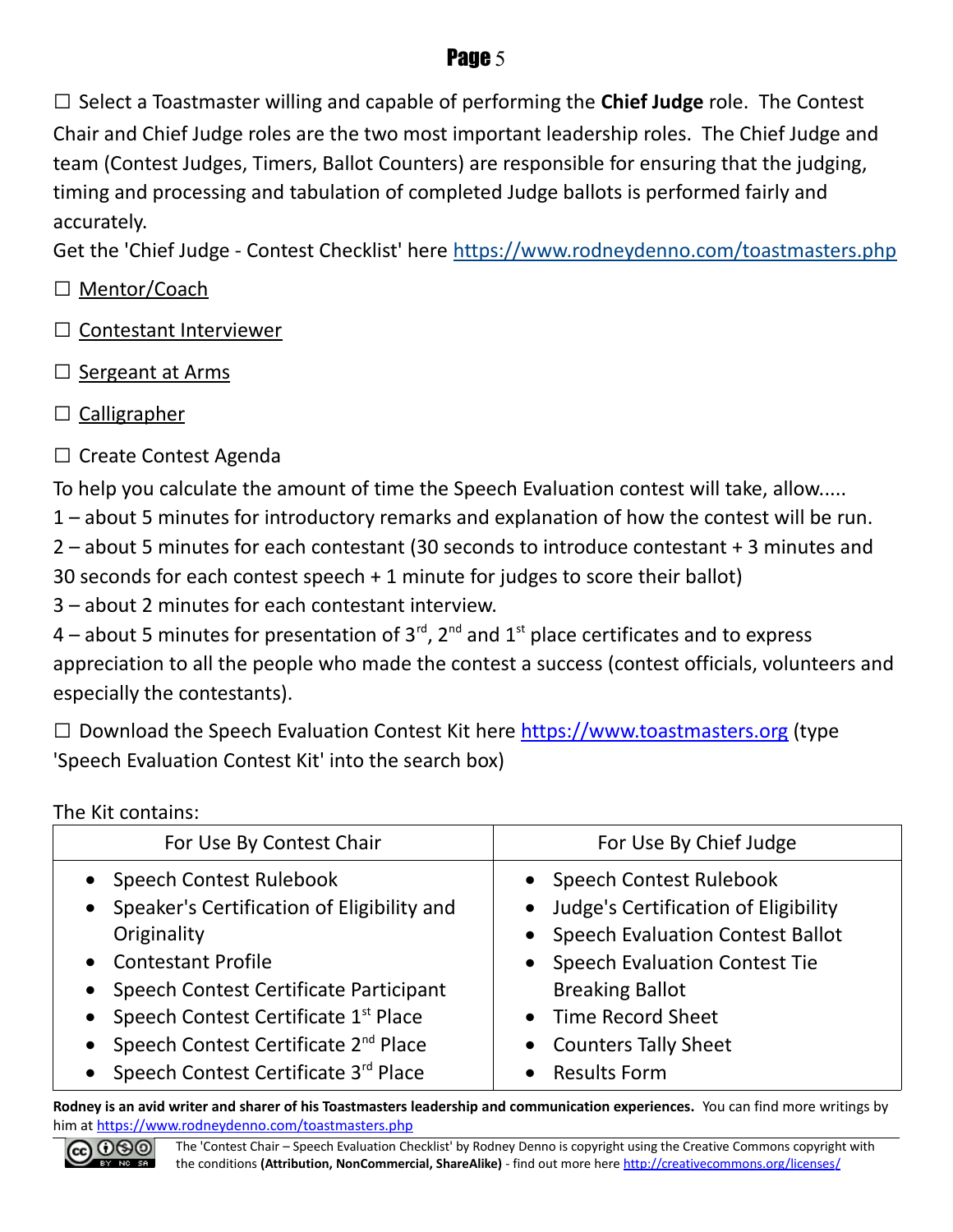□ Select a Toastmaster willing and capable of performing the **Chief Judge** role. The Contest Chair and Chief Judge roles are the two most important leadership roles. The Chief Judge and team (Contest Judges, Timers, Ballot Counters) are responsible for ensuring that the judging, timing and processing and tabulation of completed Judge ballots is performed fairly and accurately.

Get the 'Chief Judge - Contest Checklist' here<https://www.rodneydenno.com/toastmasters.php>

- □ Mentor/Coach
- □ Contestant Interviewer
- □ Sergeant at Arms
- $\Box$  Calligrapher
- □ Create Contest Agenda

To help you calculate the amount of time the Speech Evaluation contest will take, allow.....

1 – about 5 minutes for introductory remarks and explanation of how the contest will be run.

2 – about 5 minutes for each contestant (30 seconds to introduce contestant + 3 minutes and 30 seconds for each contest speech + 1 minute for judges to score their ballot)

3 – about 2 minutes for each contestant interview.

4 – about 5 minutes for presentation of  $3^{\text{rd}}$ ,  $2^{\text{nd}}$  and  $1^{\text{st}}$  place certificates and to express appreciation to all the people who made the contest a success (contest officials, volunteers and especially the contestants).

 $\square$  Download the Speech Evaluation Contest Kit here [https://www.toastmasters.org](https://www.toastmasters.org/) (type 'Speech Evaluation Contest Kit' into the search box)

The Kit contains:

| For Use By Contest Chair                                                                                                                                                                                                                              | For Use By Chief Judge                                                                                                                                                                                                  |
|-------------------------------------------------------------------------------------------------------------------------------------------------------------------------------------------------------------------------------------------------------|-------------------------------------------------------------------------------------------------------------------------------------------------------------------------------------------------------------------------|
| • Speech Contest Rulebook<br>• Speaker's Certification of Eligibility and<br>Originality<br>• Contestant Profile<br>• Speech Contest Certificate Participant<br>• Speech Contest Certificate 1st Place<br>• Speech Contest Certificate $2^{nd}$ Place | • Speech Contest Rulebook<br>• Judge's Certification of Eligibility<br>• Speech Evaluation Contest Ballot<br>• Speech Evaluation Contest Tie<br><b>Breaking Ballot</b><br>• Time Record Sheet<br>• Counters Tally Sheet |
| Speech Contest Certificate 3rd Place                                                                                                                                                                                                                  | • Results Form                                                                                                                                                                                                          |

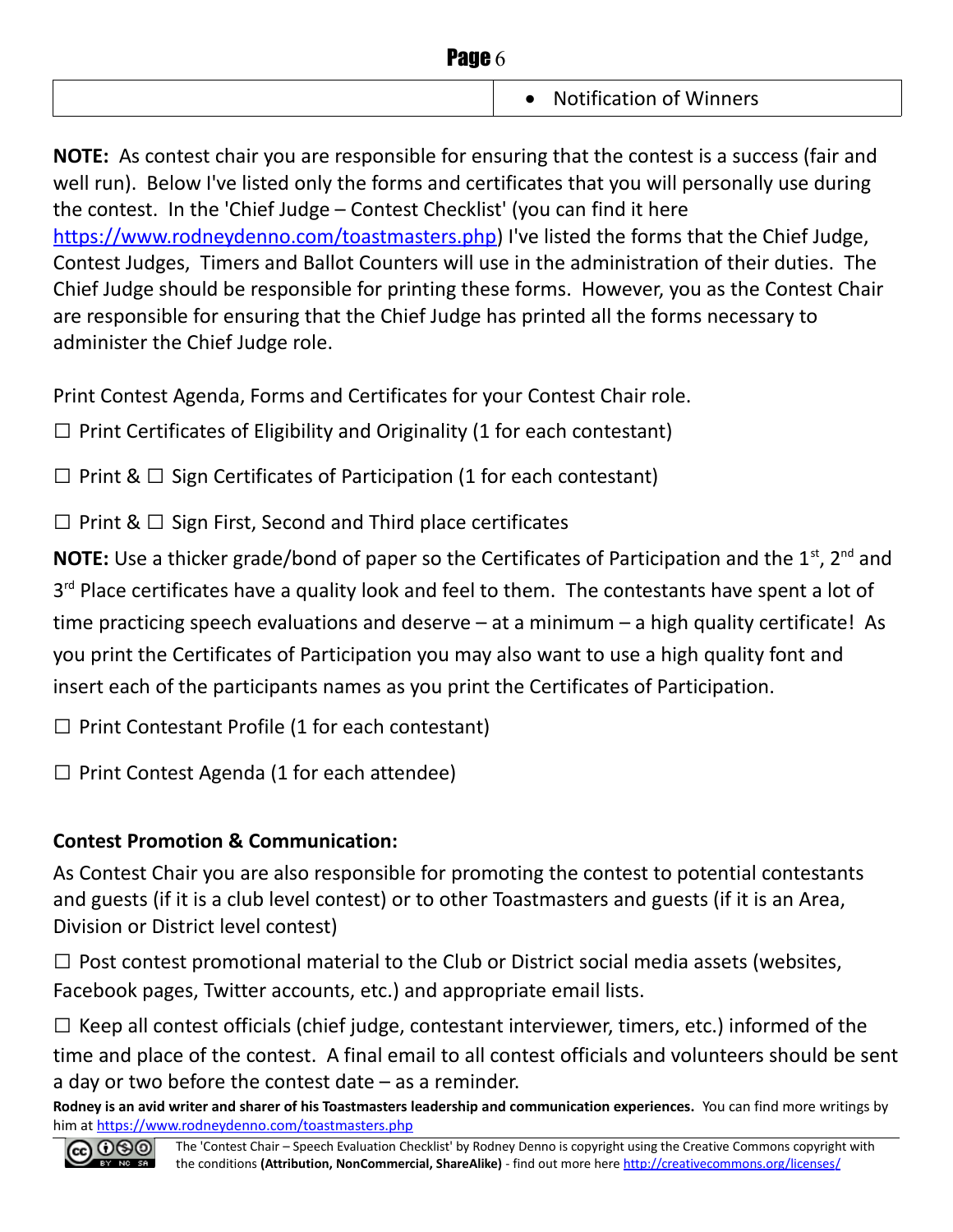| Page 6 |                                             |
|--------|---------------------------------------------|
|        | <b>Notification of Winners</b><br>$\bullet$ |

**NOTE:** As contest chair you are responsible for ensuring that the contest is a success (fair and well run). Below I've listed only the forms and certificates that you will personally use during the contest. In the 'Chief Judge – Contest Checklist' (you can find it here [https://www.rodneydenno.com/toastmasters.php\)](https://www.rodneydenno.com/toastmasters.php) I've listed the forms that the Chief Judge, Contest Judges, Timers and Ballot Counters will use in the administration of their duties. The Chief Judge should be responsible for printing these forms. However, you as the Contest Chair are responsible for ensuring that the Chief Judge has printed all the forms necessary to administer the Chief Judge role.

Print Contest Agenda, Forms and Certificates for your Contest Chair role.

 $\Box$  Print Certificates of Eligibility and Originality (1 for each contestant)

 $\Box$  Print &  $\Box$  Sign Certificates of Participation (1 for each contestant)

 $\Box$  Print &  $\Box$  Sign First, Second and Third place certificates

**NOTE:** Use a thicker grade/bond of paper so the Certificates of Participation and the 1<sup>st</sup>, 2<sup>nd</sup> and 3<sup>rd</sup> Place certificates have a quality look and feel to them. The contestants have spent a lot of time practicing speech evaluations and deserve – at a minimum – a high quality certificate! As you print the Certificates of Participation you may also want to use a high quality font and insert each of the participants names as you print the Certificates of Participation.

 $\Box$  Print Contestant Profile (1 for each contestant)

 $\Box$  Print Contest Agenda (1 for each attendee)

#### **Contest Promotion & Communication:**

As Contest Chair you are also responsible for promoting the contest to potential contestants and guests (if it is a club level contest) or to other Toastmasters and guests (if it is an Area, Division or District level contest)

 $\Box$  Post contest promotional material to the Club or District social media assets (websites, Facebook pages, Twitter accounts, etc.) and appropriate email lists.

 $\Box$  Keep all contest officials (chief judge, contestant interviewer, timers, etc.) informed of the time and place of the contest. A final email to all contest officials and volunteers should be sent a day or two before the contest date – as a reminder.

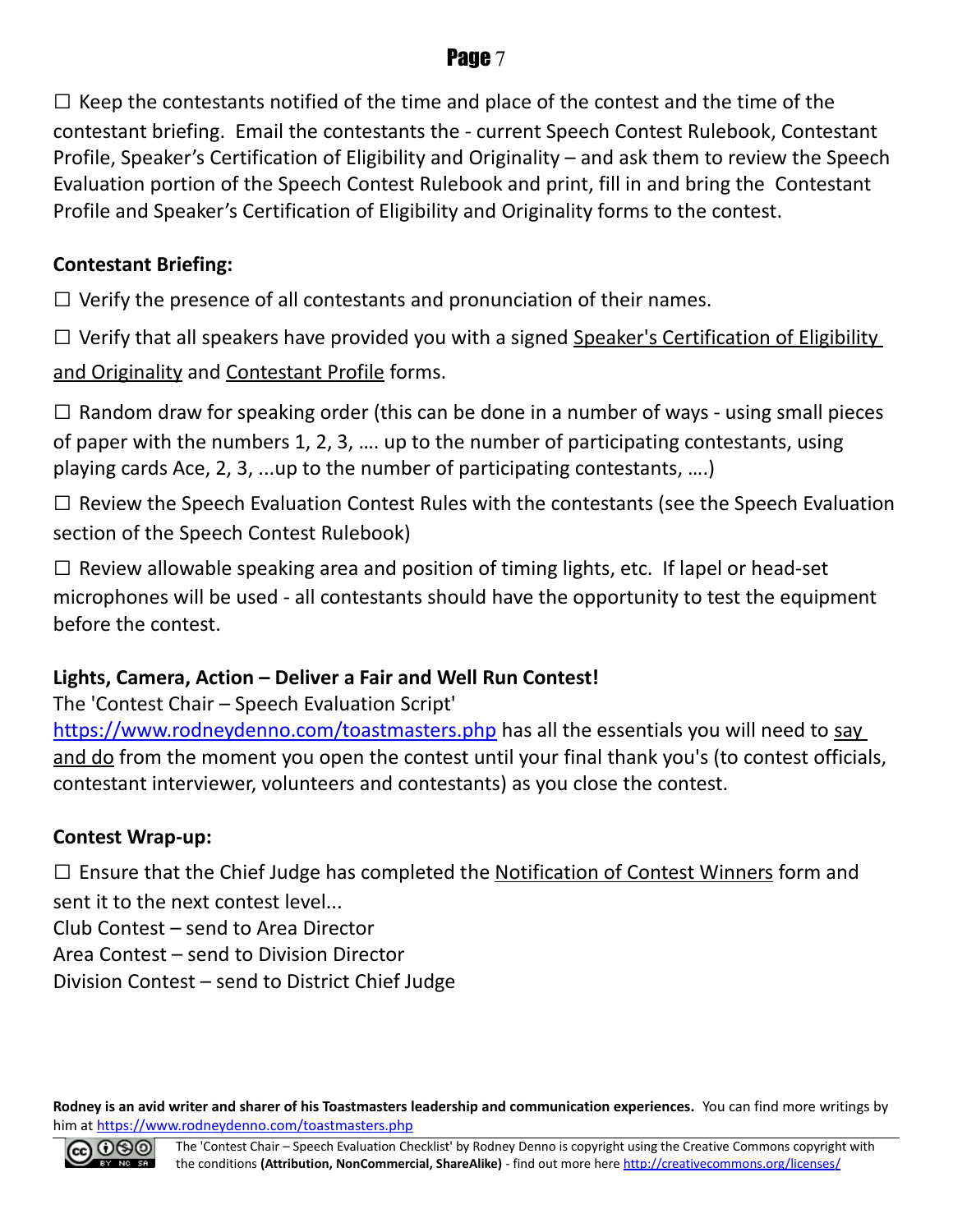$\square$  Keep the contestants notified of the time and place of the contest and the time of the contestant briefing. Email the contestants the - current Speech Contest Rulebook, Contestant Profile, Speaker's Certification of Eligibility and Originality – and ask them to review the Speech Evaluation portion of the Speech Contest Rulebook and print, fill in and bring the Contestant Profile and Speaker's Certification of Eligibility and Originality forms to the contest.

#### **Contestant Briefing:**

 $\Box$  Verify the presence of all contestants and pronunciation of their names.

 $\square$  Verify that all speakers have provided you with a signed Speaker's Certification of Eligibility

and Originality and Contestant Profile forms.

 $\square$  Random draw for speaking order (this can be done in a number of ways - using small pieces of paper with the numbers 1, 2, 3, …. up to the number of participating contestants, using playing cards Ace, 2, 3, ...up to the number of participating contestants, ….)

 $\square$  Review the Speech Evaluation Contest Rules with the contestants (see the Speech Evaluation section of the Speech Contest Rulebook)

 $\square$  Review allowable speaking area and position of timing lights, etc. If lapel or head-set microphones will be used - all contestants should have the opportunity to test the equipment before the contest.

#### **Lights, Camera, Action – Deliver a Fair and Well Run Contest!**

The 'Contest Chair – Speech Evaluation Script'

<https://www.rodneydenno.com/toastmasters.php>has all the essentials you will need to say and do from the moment you open the contest until your final thank you's (to contest officials, contestant interviewer, volunteers and contestants) as you close the contest.

#### **Contest Wrap-up:**

 $\square$  Ensure that the Chief Judge has completed the Notification of Contest Winners form and sent it to the next contest level...

Club Contest – send to Area Director

Area Contest – send to Division Director

Division Contest – send to District Chief Judge